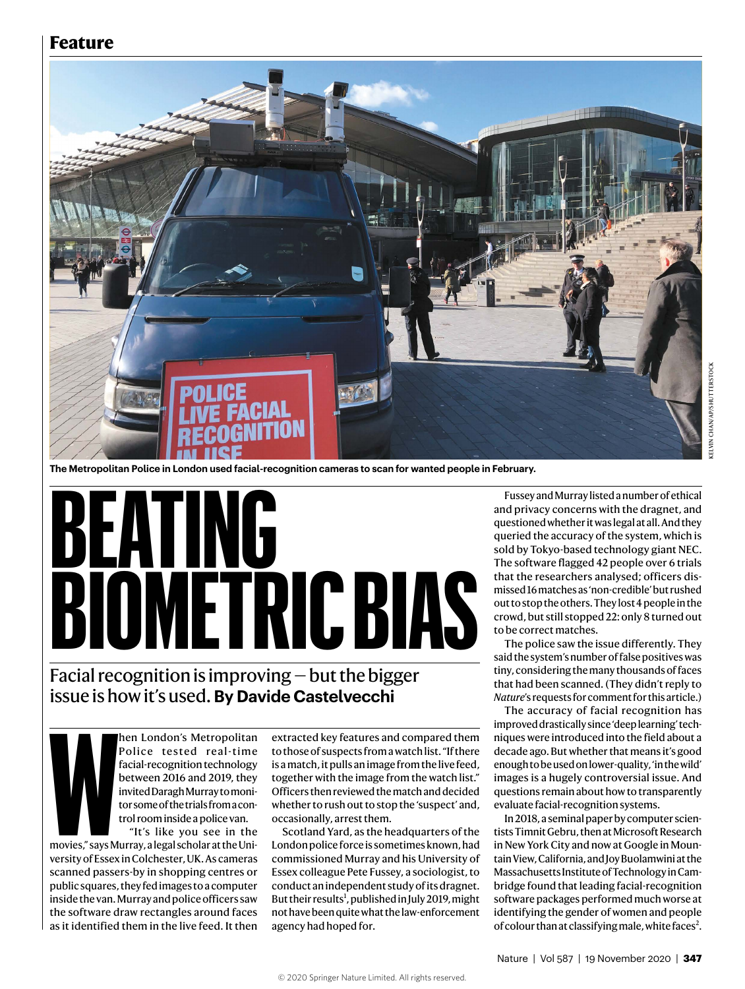## **Feature**



**The Metropolitan Police in London used facial-recognition cameras to scan for wanted people in February.**

# **BEATING BIOMETRIC BIAS**

# Facial recognition is improving — but the bigger issue is how it's used. **By Davide Castelvecchi**

**WEIGHT**<br>
WEIGHT<br>
WEIGHT hen London's Metropolitan Police tested real-time facial-recognition technology between 2016 and 2019, they invited Daragh Murray to monitor some of the trials from a control room inside a police van. "It's like you see in the

movies," says Murray, a legal scholar at the University of Essex in Colchester, UK. As cameras scanned passers-by in shopping centres or public squares, they fed images to a computer inside the van. Murray and police officers saw the software draw rectangles around faces as it identified them in the live feed. It then

extracted key features and compared them to those of suspects from a watch list. "If there is a match, it pulls an image from the live feed, together with the image from the watch list." Officers then reviewed the match and decided whether to rush out to stop the 'suspect' and, occasionally, arrest them.

Scotland Yard, as the headquarters of the London police force is sometimes known, had commissioned Murray and his University of Essex colleague Pete Fussey, a sociologist, to conduct an independent study of its dragnet. But their results<sup>1</sup>, published in July 2019, might not have been quite what the law-enforcement agency had hoped for.

Fussey and Murray listed a number of ethical and privacy concerns with the dragnet, and questioned whether it was legal at all. And they queried the accuracy of the system, which is sold by Tokyo-based technology giant NEC. The software flagged 42 people over 6 trials that the researchers analysed; officers dismissed 16 matches as 'non-credible' but rushed out to stop the others. They lost 4 people in the crowd, but still stopped 22: only 8 turned out to be correct matches.

The police saw the issue differently. They said the system's number of false positives was tiny, considering the many thousands of faces that had been scanned. (They didn't reply to *Nature*'s requests for comment for this article.)

The accuracy of facial recognition has improved drastically since 'deep learning' techniques were introduced into the field about a decade ago. But whether that means it's good enough to be used on lower-quality, 'in the wild' images is a hugely controversial issue. And questions remain about how to transparently evaluate facial-recognition systems.

In 2018, a seminal paper by computer scientists Timnit Gebru, then at Microsoft Research in New York City and now at Google in Mountain View, California, and Joy Buolamwini at the Massachusetts Institute of Technology in Cambridge found that leading facial-recognition software packages performed much worse at identifying the gender of women and people of colour than at classifying male, white faces<sup>2</sup>.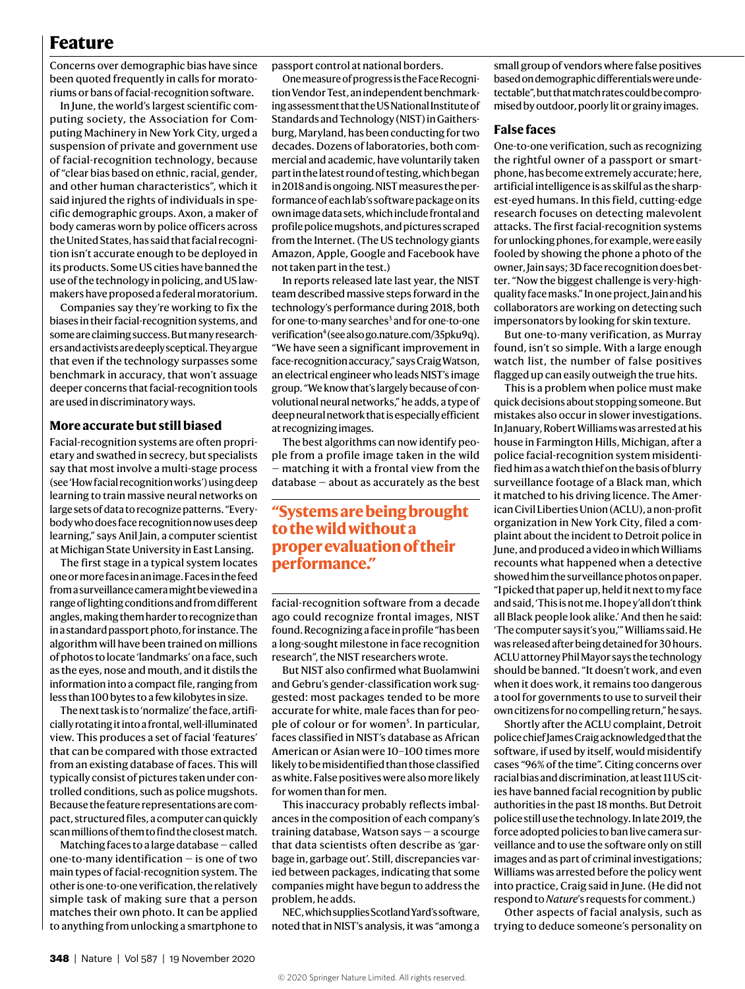# **Feature**

Concerns over demographic bias have since been quoted frequently in calls for moratoriums or bans of facial-recognition software.

In June, the world's largest scientific computing society, the Association for Computing Machinery in New York City, urged a suspension of private and government use of facial-recognition technology, because of "clear bias based on ethnic, racial, gender, and other human characteristics", which it said injured the rights of individuals in specific demographic groups. Axon, a maker of body cameras worn by police officers across the United States, has said that facial recognition isn't accurate enough to be deployed in its products. Some US cities have banned the use of the technology in policing, and US lawmakers have proposed a federal moratorium.

Companies say they're working to fix the biases in their facial-recognition systems, and some are claiming success. But many researchers and activists are deeply sceptical. They argue that even if the technology surpasses some benchmark in accuracy, that won't assuage deeper concerns that facial-recognition tools are used in discriminatory ways.

### **More accurate but still biased**

Facial-recognition systems are often proprietary and swathed in secrecy, but specialists say that most involve a multi-stage process (see 'How facial recognition works') using deep learning to train massive neural networks on large sets of data to recognize patterns. "Everybody who does face recognition now uses deep learning," says Anil Jain, a computer scientist at Michigan State University in East Lansing.

The first stage in a typical system locates one or more faces in an image. Faces in the feed from a surveillance camera might be viewed in a range of lighting conditions and from different angles, making them harder to recognize than in a standard passport photo, for instance. The algorithm will have been trained on millions of photos to locate 'landmarks' on a face, such as the eyes, nose and mouth, and it distils the information into a compact file, ranging from less than 100 bytes to a few kilobytes in size.

The next task is to 'normalize' the face, artificially rotating it into a frontal, well-illuminated view. This produces a set of facial 'features' that can be compared with those extracted from an existing database of faces. This will typically consist of pictures taken under controlled conditions, such as police mugshots. Because the feature representations are compact, structured files, a computer can quickly scan millions of them to find the closest match.

Matching faces to a large database — called one-to-many identification — is one of two main types of facial-recognition system. The other is one-to-one verification, the relatively simple task of making sure that a person matches their own photo. It can be applied to anything from unlocking a smartphone to passport control at national borders.

One measure of progress is the Face Recognition Vendor Test, an independent benchmarking assessment that the US National Institute of Standards and Technology (NIST) in Gaithersburg, Maryland, has been conducting for two decades. Dozens of laboratories, both commercial and academic, have voluntarily taken part in the latest round of testing, which began in 2018 and is ongoing. NIST measures the performance of each lab's software package on its own image data sets, which include frontal and profile police mugshots, and pictures scraped from the Internet. (The US technology giants Amazon, Apple, Google and Facebook have not taken part in the test.)

In reports released late last year, the NIST team described massive steps forward in the technology's performance during 2018, both for one-to-many searches<sup>3</sup> and for one-to-one verification<sup>4</sup> (see also go.nature.com/35pku9q). "We have seen a significant improvement in face-recognition accuracy," says Craig Watson, an electrical engineer who leads NIST's image group. "We know that's largely because of convolutional neural networks," he adds, a type of deep neural network that is especially efficient at recognizing images.

The best algorithms can now identify people from a profile image taken in the wild — matching it with a frontal view from the database — about as accurately as the best

# **"Systems are being brought to the wild without a proper evaluation of their performance."**

facial-recognition software from a decade ago could recognize frontal images, NIST found. Recognizing a face in profile "has been a long-sought milestone in face recognition research", the NIST researchers wrote.

But NIST also confirmed what Buolamwini and Gebru's gender-classification work suggested: most packages tended to be more accurate for white, male faces than for people of colour or for women<sup>5</sup>. In particular, faces classified in NIST's database as African American or Asian were 10–100 times more likely to be misidentified than those classified as white. False positives were also more likely for women than for men.

This inaccuracy probably reflects imbalances in the composition of each company's training database, Watson says — a scourge that data scientists often describe as 'garbage in, garbage out'. Still, discrepancies varied between packages, indicating that some companies might have begun to address the problem, he adds.

NEC, which supplies Scotland Yard's software, noted that in NIST's analysis, it was "among a small group of vendors where false positives based on demographic differentials were undetectable", but that match rates could be compromised by outdoor, poorly lit or grainy images.

### **False faces**

One-to-one verification, such as recognizing the rightful owner of a passport or smartphone, has become extremely accurate; here, artificial intelligence is as skilful as the sharpest-eyed humans. In this field, cutting-edge research focuses on detecting malevolent attacks. The first facial-recognition systems for unlocking phones, for example, were easily fooled by showing the phone a photo of the owner, Jain says; 3D face recognition does better. "Now the biggest challenge is very-highquality face masks." In one project, Jain and his collaborators are working on detecting such impersonators by looking for skin texture.

But one-to-many verification, as Murray found, isn't so simple. With a large enough watch list, the number of false positives flagged up can easily outweigh the true hits.

This is a problem when police must make quick decisions about stopping someone. But mistakes also occur in slower investigations. In January, Robert Williams was arrested at his house in Farmington Hills, Michigan, after a police facial-recognition system misidentified him as a watch thief on the basis of blurry surveillance footage of a Black man, which it matched to his driving licence. The American Civil Liberties Union (ACLU), a non-profit organization in New York City, filed a complaint about the incident to Detroit police in June, and produced a video in which Williams recounts what happened when a detective showed him the surveillance photos on paper. "I picked that paper up, held it next to my face and said, 'This is not me. I hope y'all don't think all Black people look alike.' And then he said: 'The computer says it's you,'" Williams said. He was released after being detained for 30 hours. ACLU attorney Phil Mayor says the technology should be banned. "It doesn't work, and even when it does work, it remains too dangerous a tool for governments to use to surveil their own citizens for no compelling return," he says.

Shortly after the ACLU complaint, Detroit police chief James Craig acknowledged that the software, if used by itself, would misidentify cases "96% of the time". Citing concerns over racial bias and discrimination, at least 11 US cities have banned facial recognition by public authorities in the past 18 months. But Detroit police still use the technology. In late 2019, the force adopted policies to ban live camera surveillance and to use the software only on still images and as part of criminal investigations; Williams was arrested before the policy went into practice, Craig said in June. (He did not respond to *Nature*'s requests for comment.)

Other aspects of facial analysis, such as trying to deduce someone's personality on